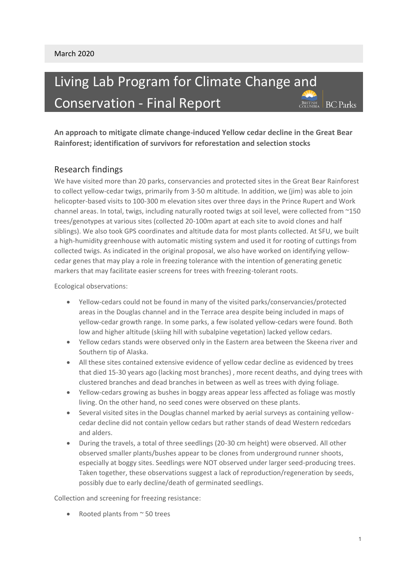# Living Lab Program for Climate Change and Conservation - Final Report BRITISH BC Parks

**An approach to mitigate climate change-induced Yellow cedar decline in the Great Bear Rainforest; identification of survivors for reforestation and selection stocks**

#### Research findings

We have visited more than 20 parks, conservancies and protected sites in the Great Bear Rainforest to collect yellow-cedar twigs, primarily from 3-50 m altitude. In addition, we (jim) was able to join helicopter-based visits to 100-300 m elevation sites over three days in the Prince Rupert and Work channel areas. In total, twigs, including naturally rooted twigs at soil level, were collected from ~150 trees/genotypes at various sites (collected 20-100m apart at each site to avoid clones and half siblings). We also took GPS coordinates and altitude data for most plants collected. At SFU, we built a high-humidity greenhouse with automatic misting system and used it for rooting of cuttings from collected twigs. As indicated in the original proposal, we also have worked on identifying yellowcedar genes that may play a role in freezing tolerance with the intention of generating genetic markers that may facilitate easier screens for trees with freezing-tolerant roots.

Ecological observations:

- Yellow-cedars could not be found in many of the visited parks/conservancies/protected areas in the Douglas channel and in the Terrace area despite being included in maps of yellow-cedar growth range. In some parks, a few isolated yellow-cedars were found. Both low and higher altitude (skiing hill with subalpine vegetation) lacked yellow cedars.
- Yellow cedars stands were observed only in the Eastern area between the Skeena river and Southern tip of Alaska.
- All these sites contained extensive evidence of yellow cedar decline as evidenced by trees that died 15-30 years ago (lacking most branches) , more recent deaths, and dying trees with clustered branches and dead branches in between as well as trees with dying foliage.
- Yellow-cedars growing as bushes in boggy areas appear less affected as foliage was mostly living. On the other hand, no seed cones were observed on these plants.
- Several visited sites in the Douglas channel marked by aerial surveys as containing yellowcedar decline did not contain yellow cedars but rather stands of dead Western redcedars and alders.
- During the travels, a total of three seedlings (20-30 cm height) were observed. All other observed smaller plants/bushes appear to be clones from underground runner shoots, especially at boggy sites. Seedlings were NOT observed under larger seed-producing trees. Taken together, these observations suggest a lack of reproduction/regeneration by seeds, possibly due to early decline/death of germinated seedlings.

Collection and screening for freezing resistance:

• Rooted plants from ~50 trees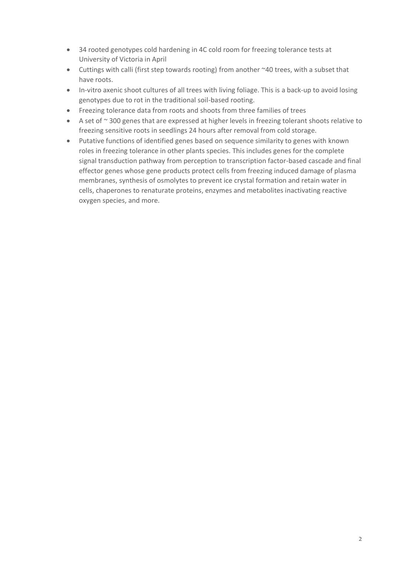- 34 rooted genotypes cold hardening in 4C cold room for freezing tolerance tests at University of Victoria in April
- Cuttings with calli (first step towards rooting) from another ~40 trees, with a subset that have roots.
- In-vitro axenic shoot cultures of all trees with living foliage. This is a back-up to avoid losing genotypes due to rot in the traditional soil-based rooting.
- Freezing tolerance data from roots and shoots from three families of trees
- A set of  $\sim$  300 genes that are expressed at higher levels in freezing tolerant shoots relative to freezing sensitive roots in seedlings 24 hours after removal from cold storage.
- Putative functions of identified genes based on sequence similarity to genes with known roles in freezing tolerance in other plants species. This includes genes for the complete signal transduction pathway from perception to transcription factor-based cascade and final effector genes whose gene products protect cells from freezing induced damage of plasma membranes, synthesis of osmolytes to prevent ice crystal formation and retain water in cells, chaperones to renaturate proteins, enzymes and metabolites inactivating reactive oxygen species, and more.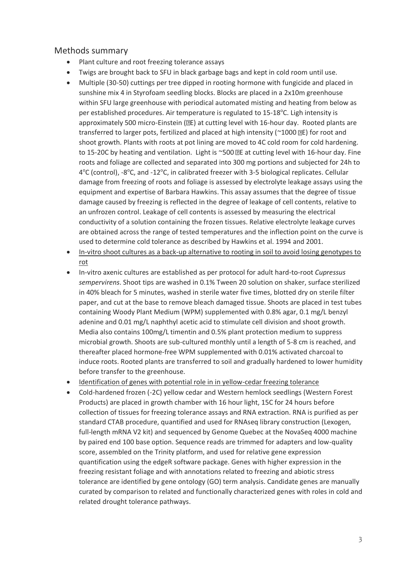#### Methods summary

- Plant culture and root freezing tolerance assays
- Twigs are brought back to SFU in black garbage bags and kept in cold room until use.
- Multiple (30-50) cuttings per tree dipped in rooting hormone with fungicide and placed in sunshine mix 4 in Styrofoam seedling blocks. Blocks are placed in a 2x10m greenhouse within SFU large greenhouse with periodical automated misting and heating from below as per established procedures. Air temperature is regulated to 15-18°C. Ligh intensity is approximately 500 micro-Einstein ( $\mathbb{E}$ ) at cutting level with 16-hour day. Rooted plants are transferred to larger pots, fertilized and placed at high intensity ( $\sim$ 1000  $\mathbb{E}$ ) for root and shoot growth. Plants with roots at pot lining are moved to 4C cold room for cold hardening. to 15-20C by heating and ventilation. Light is ~500 o E at cutting level with 16-hour day. Fine roots and foliage are collected and separated into 300 mg portions and subjected for 24h to 4°C (control), -8°C, and -12°C, in calibrated freezer with 3-5 biological replicates. Cellular damage from freezing of roots and foliage is assessed by electrolyte leakage assays using the equipment and expertise of Barbara Hawkins. This assay assumes that the degree of tissue damage caused by freezing is reflected in the degree of leakage of cell contents, relative to an unfrozen control. Leakage of cell contents is assessed by measuring the electrical conductivity of a solution containing the frozen tissues. Relative electrolyte leakage curves are obtained across the range of tested temperatures and the inflection point on the curve is used to determine cold tolerance as described by Hawkins et al. 1994 and 2001.
- In-vitro shoot cultures as a back-up alternative to rooting in soil to avoid losing genotypes to rot
- In-vitro axenic cultures are established as per protocol for adult hard-to-root *Cupressus sempervirens*. Shoot tips are washed in 0.1% Tween 20 solution on shaker, surface sterilized in 40% bleach for 5 minutes, washed in sterile water five times, blotted dry on sterile filter paper, and cut at the base to remove bleach damaged tissue. Shoots are placed in test tubes containing Woody Plant Medium (WPM) supplemented with 0.8% agar, 0.1 mg/L benzyl adenine and 0.01 mg/L naphthyl acetic acid to stimulate cell division and shoot growth. Media also contains 100mg/L timentin and 0.5% plant protection medium to suppress microbial growth. Shoots are sub-cultured monthly until a length of 5-8 cm is reached, and thereafter placed hormone-free WPM supplemented with 0.01% activated charcoal to induce roots. Rooted plants are transferred to soil and gradually hardened to lower humidity before transfer to the greenhouse.
- Identification of genes with potential role in in yellow-cedar freezing tolerance
- Cold-hardened frozen (-2C) yellow cedar and Western hemlock seedlings (Western Forest Products) are placed in growth chamber with 16 hour light, 15C for 24 hours before collection of tissues for freezing tolerance assays and RNA extraction. RNA is purified as per standard CTAB procedure, quantified and used for RNAseq library construction (Lexogen, full-length mRNA V2 kit) and sequenced by Genome Quebec at the NovaSeq 4000 machine by paired end 100 base option. Sequence reads are trimmed for adapters and low-quality score, assembled on the Trinity platform, and used for relative gene expression quantification using the edgeR software package. Genes with higher expression in the freezing resistant foliage and with annotations related to freezing and abiotic stress tolerance are identified by gene ontology (GO) term analysis. Candidate genes are manually curated by comparison to related and functionally characterized genes with roles in cold and related drought tolerance pathways.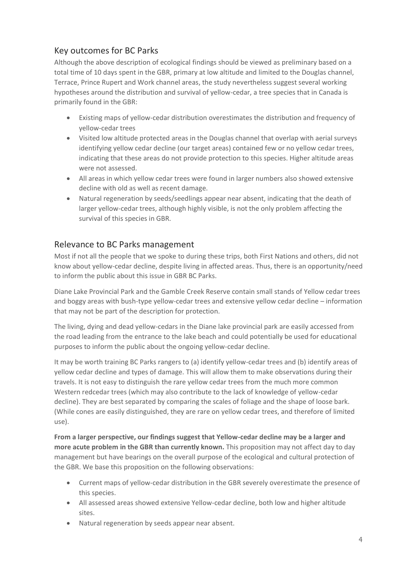# Key outcomes for BC Parks

Although the above description of ecological findings should be viewed as preliminary based on a total time of 10 days spent in the GBR, primary at low altitude and limited to the Douglas channel, Terrace, Prince Rupert and Work channel areas, the study nevertheless suggest several working hypotheses around the distribution and survival of yellow-cedar, a tree species that in Canada is primarily found in the GBR:

- Existing maps of yellow-cedar distribution overestimates the distribution and frequency of yellow-cedar trees
- Visited low altitude protected areas in the Douglas channel that overlap with aerial surveys identifying yellow cedar decline (our target areas) contained few or no yellow cedar trees, indicating that these areas do not provide protection to this species. Higher altitude areas were not assessed.
- All areas in which yellow cedar trees were found in larger numbers also showed extensive decline with old as well as recent damage.
- Natural regeneration by seeds/seedlings appear near absent, indicating that the death of larger yellow-cedar trees, although highly visible, is not the only problem affecting the survival of this species in GBR.

### Relevance to BC Parks management

Most if not all the people that we spoke to during these trips, both First Nations and others, did not know about yellow-cedar decline, despite living in affected areas. Thus, there is an opportunity/need to inform the public about this issue in GBR BC Parks.

Diane Lake Provincial Park and the Gamble Creek Reserve contain small stands of Yellow cedar trees and boggy areas with bush-type yellow-cedar trees and extensive yellow cedar decline – information that may not be part of the description for protection.

The living, dying and dead yellow-cedars in the Diane lake provincial park are easily accessed from the road leading from the entrance to the lake beach and could potentially be used for educational purposes to inform the public about the ongoing yellow-cedar decline.

It may be worth training BC Parks rangers to (a) identify yellow-cedar trees and (b) identify areas of yellow cedar decline and types of damage. This will allow them to make observations during their travels. It is not easy to distinguish the rare yellow cedar trees from the much more common Western redcedar trees (which may also contribute to the lack of knowledge of yellow-cedar decline). They are best separated by comparing the scales of foliage and the shape of loose bark. (While cones are easily distinguished, they are rare on yellow cedar trees, and therefore of limited use).

**From a larger perspective, our findings suggest that Yellow-cedar decline may be a larger and more acute problem in the GBR than currently known.** This proposition may not affect day to day management but have bearings on the overall purpose of the ecological and cultural protection of the GBR. We base this proposition on the following observations:

- Current maps of yellow-cedar distribution in the GBR severely overestimate the presence of this species.
- All assessed areas showed extensive Yellow-cedar decline, both low and higher altitude sites.
- Natural regeneration by seeds appear near absent.